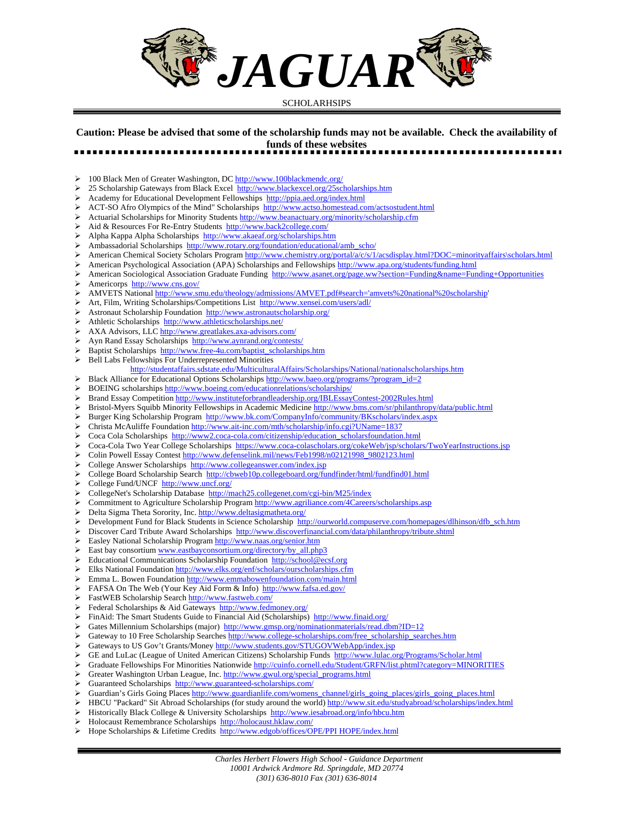

## SCHOLARHSIPS

## **Caution: Please be advised that some of the scholarship funds may not be available. Check the availability of funds of these websites**  .....................

¾ 100 Black Men of Greater Washington, DC http://www.100blackmendc.org/

- ¾ 25 Scholarship Gateways from Black Excel http://www.blackexcel.org/25scholarships.htm
- Academy for Educational Development Fellowships http://ppia.aed.org/index.html
- ¾ ACT-SO Afro Olympics of the Mind" Scholarships http://www.actso.homestead.com/actsostudent.html
- Actuarial Scholarships for Minority Students http://www.beanactuary.org/minority/scholarship.cfm
- ¾ Aid & Resources For Re-Entry Students http://www.back2college.com/
- ¾ Alpha Kappa Alpha Scholarships http://www.akaeaf.org/scholarships.htm
- Ambassadorial Scholarships http://www.rotary.org/foundation/educational/amb\_scho/
- ¾ American Chemical Society Scholars Program http://www.chemistry.org/portal/a/c/s/1/acsdisplay.html?DOC=minorityaffairs\scholars.html
- American Psychological Association (APA) Scholarships and Fellowships http://www.apa.org/students/funding.html
- American Sociological Association Graduate Funding http://www.asanet.org/page.ww?section=Funding&name=Funding+Opportunities
- ¾ Americorps http://www.cns.gov/
- ¾ AMVETS National http://www.smu.edu/theology/admissions/AMVET.pdf#search='amvets%20national%20scholarship'
- Art, Film, Writing Scholarships/Competitions List http://www.xensei.com/users/adl/
- ¾ Astronaut Scholarship Foundation http://www.astronautscholarship.org/
- Athletic Scholarships http://www.athleticscholarships.net/
- ¾ AXA Advisors, LLC http://www.greatlakes.axa-advisors.com/
- Ayn Rand Essay Scholarships http://www.aynrand.org/contests/
- ¾ Baptist Scholarships http://www.free-4u.com/baptist\_scholarships.htm
- ¾ Bell Labs Fellowships For Underrepresented Minorities
	- http://studentaffairs.sdstate.edu/MulticulturalAffairs/Scholarships/National/nationalscholarships.htm
- E Black Alliance for Educational Options Scholarships http://www.baeo.org/programs/?program\_id=2
- ¾ BOEING scholarships http://www.boeing.com/educationrelations/scholarships/
- ¾ Brand Essay Competition http://www.instituteforbrandleadership.org/IBLEssayContest-2002Rules.html
- Bristol-Myers Squibb Minority Fellowships in Academic Medicine http://www.bms.com/sr/philanthropy/data/public.html
- ¾ Burger King Scholarship Program http://www.bk.com/CompanyInfo/community/BKscholars/index.aspx
- ¾ Christa McAuliffe Foundation http://www.ait-inc.com/mth/scholarship/info.cgi?UName=1837
- ¾ Coca Cola Scholarships http://www2.coca-cola.com/citizenship/education\_scholarsfoundation.html
- Coca-Cola Two Year College Scholarships https://www.coca-colascholars.org/cokeWeb/jsp/scholars/TwoYearInstructions.jsp
- Colin Powell Essay Contest http://www.defenselink.mil/news/Feb1998/n02121998\_9802123.html
- ¾ College Answer Scholarships http://www.collegeanswer.com/index.jsp
- ¾ College Board Scholarship Search http://cbweb10p.collegeboard.org/fundfinder/html/fundfind01.html
- ¾ College Fund/UNCF http://www.uncf.org/
- ¾ CollegeNet's Scholarship Database http://mach25.collegenet.com/cgi-bin/M25/index
- ¾ Commitment to Agriculture Scholarship Program http://www.agriliance.com/4Careers/scholarships.asp
- ¾ Delta Sigma Theta Sorority, Inc. http://www.deltasigmatheta.org/
- Development Fund for Black Students in Science Scholarship http://ourworld.compuserve.com/homepages/dlhinson/dfb\_sch.htm
- Discover Card Tribute Award Scholarships http://www.discoverfinancial.com/data/philanthropy/tribute.shtml
- Easley National Scholarship Program http://www.naas.org/senior.htm
- East bay consortium www.eastbayconsortium.org/directory/by\_all.php3
- ¾ Educational Communications Scholarship Foundation http://school@ecsf.org
- ¾ Elks National Foundation http://www.elks.org/enf/scholars/ourscholarships.cfm
- ¾ Emma L. Bowen Foundation http://www.emmabowenfoundation.com/main.html
- ¾ FAFSA On The Web (Your Key Aid Form & Info) http://www.fafsa.ed.gov/
- FastWEB Scholarship Search http://www.fastweb.com/
- ¾ Federal Scholarships & Aid Gateways http://www.fedmoney.org/
- ¾ FinAid: The Smart Students Guide to Financial Aid (Scholarships) http://www.finaid.org/
- Gates Millennium Scholarships (major) http://www.gmsp.org/nominationmaterials/read.dbm?ID=12
- Gateway to 10 Free Scholarship Searches http://www.college-scholarships.com/free\_scholarship\_searches.htm
- Gateways to US Gov't Grants/Money http://www.students.gov/STUGOVWebApp/index.jsp
- GE and LuLac (League of United American Citizens) Scholarship Funds http://www.lulac.org/Programs/Scholar.html
- Graduate Fellowships For Minorities Nationwide http://cuinfo.cornell.edu/Student/GRFN/list.phtml?category=MINORITIES
- Greater Washington Urban League, Inc. http://www.gwul.org/special\_programs.html
- Guaranteed Scholarships http://www.guaranteed-scholarships.com/
- Guardian's Girls Going Places http://www.guardianlife.com/womens\_channel/girls\_going\_places/girls\_going\_places.html
- HBCU "Packard" Sit Abroad Scholarships (for study around the world) http://www.sit.edu/studyabroad/scholarships/index.html
- Historically Black College & University Scholarships http://www.iesabroad.org/info/hbcu.htm
- ¾ Holocaust Remembrance Scholarships http://holocaust.hklaw.com/
- ¾ Hope Scholarships & Lifetime Credits http://www.edgob/offices/OPE/PPI HOPE/index.html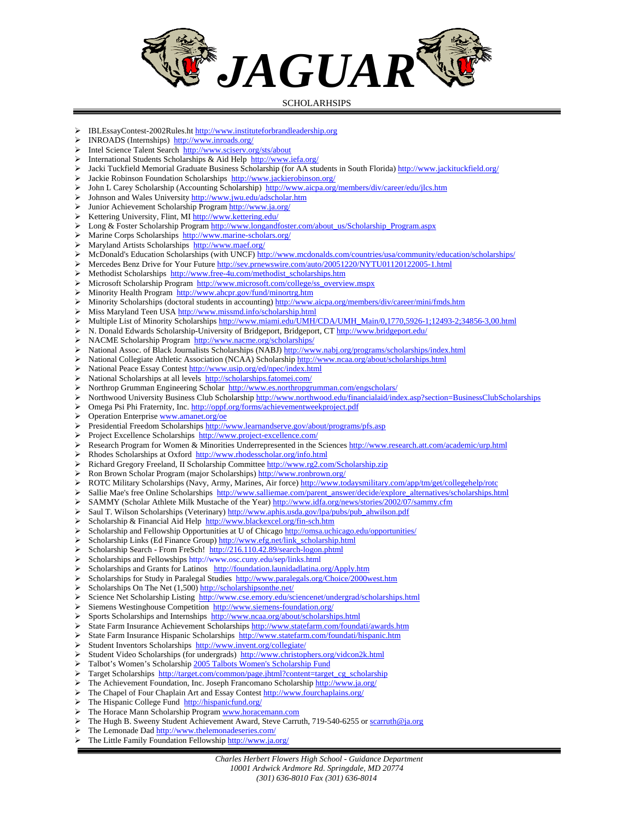

## SCHOLARHSIPS

- ¾ IBLEssayContest-2002Rules.ht http://www.instituteforbrandleadership.org
- ¾ INROADS (Internships) http://www.inroads.org/
- ¾ Intel Science Talent Search http://www.sciserv.org/sts/about
- International Students Scholarships & Aid Help http://www.iefa.org/
- Jacki Tuckfield Memorial Graduate Business Scholarship (for AA students in South Florida) http://www.jackituckfield.org/
- ¾ Jackie Robinson Foundation Scholarships http://www.jackierobinson.org/
- John L Carey Scholarship (Accounting Scholarship) http://www.aicpa.org/members/div/career/edu/jlcs.htm
- ¾ Johnson and Wales University http://www.jwu.edu/adscholar.htm
- ¾ Junior Achievement Scholarship Program http://www.ja.org/
- ¾ Kettering University, Flint, MI http://www.kettering.edu/
- Long & Foster Scholarship Program http://www.longandfoster.com/about\_us/Scholarship\_Program.aspx
- ¾ Marine Corps Scholarships http://www.marine-scholars.org/
- Maryland Artists Scholarships http://www.maef.org/
- ¾ McDonald's Education Scholarships (with UNCF) http://www.mcdonalds.com/countries/usa/community/education/scholarships/
- ¾ Mercedes Benz Drive for Your Future http://sev.prnewswire.com/auto/20051220/NYTU01120122005-1.html
- ¾ Methodist Scholarships http://www.free-4u.com/methodist\_scholarships.htm
- ¾ Microsoft Scholarship Program http://www.microsoft.com/college/ss\_overview.mspx
- ¾ Minority Health Program http://www.ahcpr.gov/fund/minortrg.htm
- Minority Scholarships (doctoral students in accounting) http://www.aicpa.org/members/div/career/mini/fmds.htm
- ¾ Miss Maryland Teen USA http://www.missmd.info/scholarship.html
- ¾ Multiple List of Minority Scholarships http://www.miami.edu/UMH/CDA/UMH\_Main/0,1770,5926-1;12493-2;34856-3,00.html
- N. Donald Edwards Scholarship-University of Bridgeport, Bridgeport, CT http://www.bridgeport.edu/
- ¾ NACME Scholarship Program http://www.nacme.org/scholarships/
- National Assoc. of Black Journalists Scholarships (NABJ) http://www.nabj.org/programs/scholarships/index.html
- ¾ National Collegiate Athletic Association (NCAA) Scholarship http://www.ncaa.org/about/scholarships.html
- National Peace Essay Contest http://www.usip.org/ed/npec/index.html
- ¾ National Scholarships at all levels http://scholarships.fatomei.com/
- Northrop Grumman Engineering Scholar http://www.es.northropgrumman.com/engscholars/
- ¾ Northwood University Business Club Scholarship http://www.northwood.edu/financialaid/index.asp?section=BusinessClubScholarships
- ¾ Omega Psi Phi Fraternity, Inc. http://oppf.org/forms/achievementweekproject.pdf
- Operation Enterprise www.amanet.org/oe
- Presidential Freedom Scholarships http://www.learnandserve.gov/about/programs/pfs.asp
- ¾ Project Excellence Scholarships http://www.project-excellence.com/
- Research Program for Women & Minorities Underrepresented in the Sciences http://www.research.att.com/academic/urp.html
- ¾ Rhodes Scholarships at Oxford http://www.rhodesscholar.org/info.html
- ¾ Richard Gregory Freeland, II Scholarship Committee http://www.rg2.com/Scholarship.zip
- ¾ Ron Brown Scholar Program (major Scholarships) http://www.ronbrown.org/
- ¾ ROTC Military Scholarships (Navy, Army, Marines, Air force) http://www.todaysmilitary.com/app/tm/get/collegehelp/rotc
- Sallie Mae's free Online Scholarships http://www.salliemae.com/parent\_answer/decide/explore\_alternatives/scholarships.html
- SAMMY (Scholar Athlete Milk Mustache of the Year) http://www.idfa.org/news/stories/2002/07/sammy.cfm
- Saul T. Wilson Scholarships (Veterinary) http://www.aphis.usda.gov/lpa/pubs/pub\_ahwilson.pdf
- Scholarship & Financial Aid Help http://www.blackexcel.org/fin-sch.htm
- Scholarship and Fellowship Opportunities at U of Chicago http://omsa.uchicago.edu/opportunities/
- Scholarship Links (Ed Finance Group) http://www.efg.net/link\_scholarship.html
- ¾ Scholarship Search From FreSch! http://216.110.42.89/search-logon.phtml
- Scholarships and Fellowships http://www.osc.cuny.edu/sep/links.html
- Scholarships and Grants for Latinos http://foundation.launidadlatina.org/Apply.htm
- Scholarships for Study in Paralegal Studies http://www.paralegals.org/Choice/2000west.htm
- ¾ Scholarships On The Net (1,500) http://scholarshipsonthe.net/
- Science Net Scholarship Listing http://www.cse.emory.edu/sciencenet/undergrad/scholarships.html
- Siemens Westinghouse Competition http://www.siemens-foundation.org/
- Sports Scholarships and Internships http://www.ncaa.org/about/scholarships.html
- ¾ State Farm Insurance Achievement Scholarships http://www.statefarm.com/foundati/awards.htm
- State Farm Insurance Hispanic Scholarships http://www.statefarm.com/foundati/hispanic.htm
- Student Inventors Scholarships http://www.invent.org/collegiate/
- Student Video Scholarships (for undergrads) http://www.christophers.org/vidcon2k.html
- Talbot's Women's Scholarship 2005 Talbots Women's Scholarship Fund
- Target Scholarships http://target.com/common/page.jhtml?content=target\_cg\_scholarship
- ¾ The Achievement Foundation, Inc. Joseph Francomano Scholarship http://www.ja.org/
- The Chapel of Four Chaplain Art and Essay Contest http://www.fourchaplains.org/
- ¾ The Hispanic College Fund http://hispanicfund.org/
- The Horace Mann Scholarship Program www.horacemann.com
- The Hugh B. Sweeny Student Achievement Award, Steve Carruth, 719-540-6255 or scarruth@ja.org
- > The Lemonade Dad http://www.thelemonadeseries.com/
- The Little Family Foundation Fellowship http://www.ja.org/